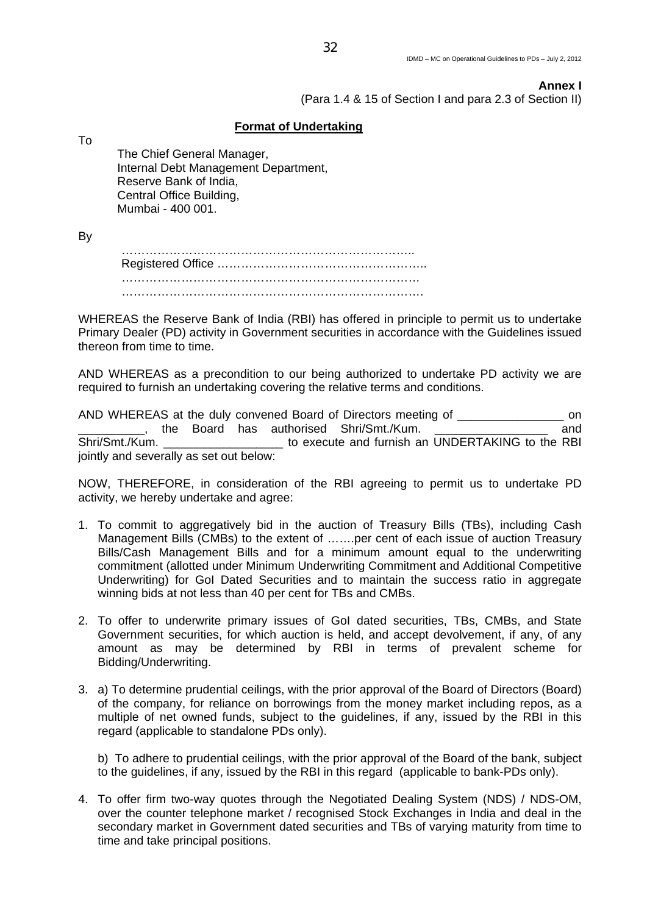## **Annex I**

(Para 1.4 & 15 of Section I and para 2.3 of Section II)

## **Format of Undertaking**

To

The Chief General Manager, Internal Debt Management Department, Reserve Bank of India, Central Office Building, Mumbai - 400 001.

By

 ……………………………………………………………….. Registered Office …………………………………………….. ………………………………………………………………… ………………………………………………………………….

WHEREAS the Reserve Bank of India (RBI) has offered in principle to permit us to undertake Primary Dealer (PD) activity in Government securities in accordance with the Guidelines issued thereon from time to time.

AND WHEREAS as a precondition to our being authorized to undertake PD activity we are required to furnish an undertaking covering the relative terms and conditions.

AND WHEREAS at the duly convened Board of Directors meeting of \_\_\_\_\_\_\_\_\_\_\_\_\_\_\_\_\_\_ on Letter Morror and thas authorised Shri/Smt./Kum. Shri/Smt./Kum. \_\_\_\_\_\_\_\_\_\_\_\_\_\_\_\_\_\_\_\_\_\_\_ to execute and furnish an UNDERTAKING to the RBI jointly and severally as set out below:

NOW, THEREFORE, in consideration of the RBI agreeing to permit us to undertake PD activity, we hereby undertake and agree:

- 1. To commit to aggregatively bid in the auction of Treasury Bills (TBs), including Cash Management Bills (CMBs) to the extent of …….per cent of each issue of auction Treasury Bills/Cash Management Bills and for a minimum amount equal to the underwriting commitment (allotted under Minimum Underwriting Commitment and Additional Competitive Underwriting) for GoI Dated Securities and to maintain the success ratio in aggregate winning bids at not less than 40 per cent for TBs and CMBs.
- 2. To offer to underwrite primary issues of GoI dated securities, TBs, CMBs, and State Government securities, for which auction is held, and accept devolvement, if any, of any amount as may be determined by RBI in terms of prevalent scheme for Bidding/Underwriting.
- 3. a) To determine prudential ceilings, with the prior approval of the Board of Directors (Board) of the company, for reliance on borrowings from the money market including repos, as a multiple of net owned funds, subject to the guidelines, if any, issued by the RBI in this regard (applicable to standalone PDs only).

b) To adhere to prudential ceilings, with the prior approval of the Board of the bank, subject to the guidelines, if any, issued by the RBI in this regard (applicable to bank-PDs only).

4. To offer firm two-way quotes through the Negotiated Dealing System (NDS) / NDS-OM, over the counter telephone market / recognised Stock Exchanges in India and deal in the secondary market in Government dated securities and TBs of varying maturity from time to time and take principal positions.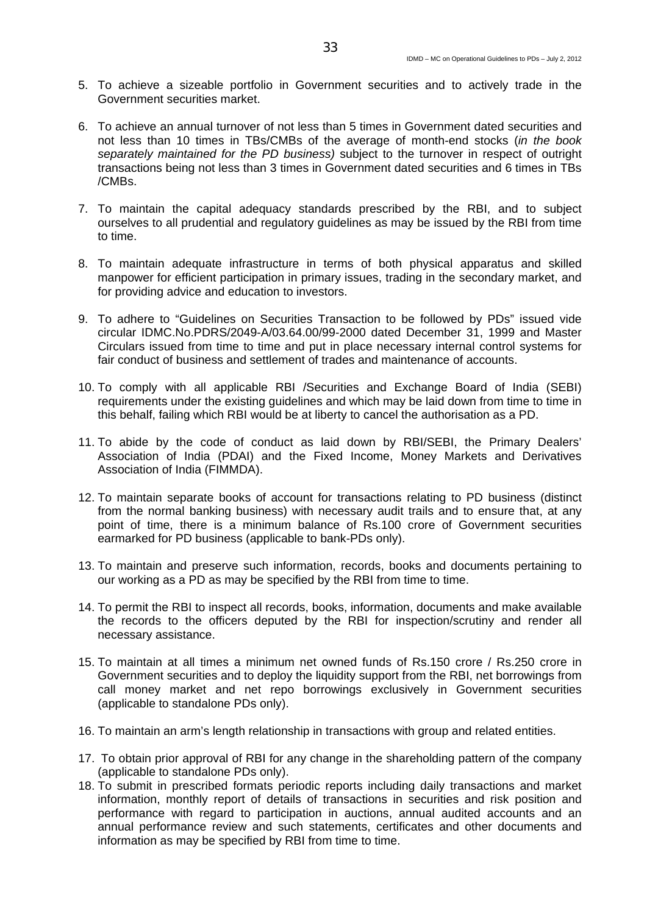- 5. To achieve a sizeable portfolio in Government securities and to actively trade in the Government securities market.
- 6. To achieve an annual turnover of not less than 5 times in Government dated securities and not less than 10 times in TBs/CMBs of the average of month-end stocks (*in the book separately maintained for the PD business)* subject to the turnover in respect of outright transactions being not less than 3 times in Government dated securities and 6 times in TBs /CMBs.
- 7. To maintain the capital adequacy standards prescribed by the RBI, and to subject ourselves to all prudential and regulatory guidelines as may be issued by the RBI from time to time.
- 8. To maintain adequate infrastructure in terms of both physical apparatus and skilled manpower for efficient participation in primary issues, trading in the secondary market, and for providing advice and education to investors.
- 9. To adhere to "Guidelines on Securities Transaction to be followed by PDs" issued vide circular IDMC.No.PDRS/2049-A/03.64.00/99-2000 dated December 31, 1999 and Master Circulars issued from time to time and put in place necessary internal control systems for fair conduct of business and settlement of trades and maintenance of accounts.
- 10. To comply with all applicable RBI /Securities and Exchange Board of India (SEBI) requirements under the existing guidelines and which may be laid down from time to time in this behalf, failing which RBI would be at liberty to cancel the authorisation as a PD.
- 11. To abide by the code of conduct as laid down by RBI/SEBI, the Primary Dealers' Association of India (PDAI) and the Fixed Income, Money Markets and Derivatives Association of India (FIMMDA).
- 12. To maintain separate books of account for transactions relating to PD business (distinct from the normal banking business) with necessary audit trails and to ensure that, at any point of time, there is a minimum balance of Rs.100 crore of Government securities earmarked for PD business (applicable to bank-PDs only).
- 13. To maintain and preserve such information, records, books and documents pertaining to our working as a PD as may be specified by the RBI from time to time.
- 14. To permit the RBI to inspect all records, books, information, documents and make available the records to the officers deputed by the RBI for inspection/scrutiny and render all necessary assistance.
- 15. To maintain at all times a minimum net owned funds of Rs.150 crore / Rs.250 crore in Government securities and to deploy the liquidity support from the RBI, net borrowings from call money market and net repo borrowings exclusively in Government securities (applicable to standalone PDs only).
- 16. To maintain an arm's length relationship in transactions with group and related entities.
- 17. To obtain prior approval of RBI for any change in the shareholding pattern of the company (applicable to standalone PDs only).
- 18. To submit in prescribed formats periodic reports including daily transactions and market information, monthly report of details of transactions in securities and risk position and performance with regard to participation in auctions, annual audited accounts and an annual performance review and such statements, certificates and other documents and information as may be specified by RBI from time to time.